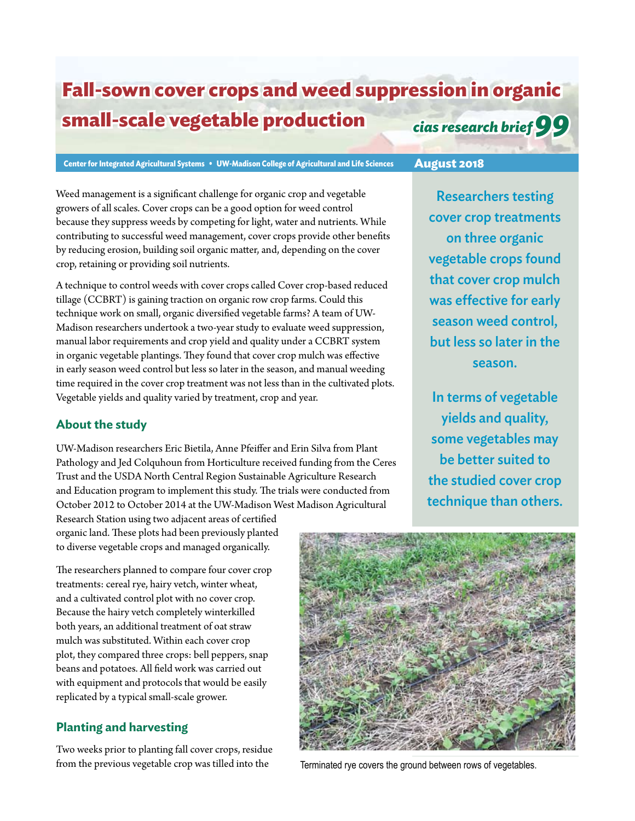# **Fall-sown cover crops and weed suppression in organic small-scale vegetable production** *cias research brief 99*

**Center for Integrated Agricultural Systems • UW-Madison College of Agricultural and Life Sciences August 2018**

Weed management is a significant challenge for organic crop and vegetable growers of all scales. Cover crops can be a good option for weed control because they suppress weeds by competing for light, water and nutrients. While contributing to successful weed management, cover crops provide other benefits by reducing erosion, building soil organic matter, and, depending on the cover crop, retaining or providing soil nutrients.

A technique to control weeds with cover crops called Cover crop-based reduced tillage (CCBRT) is gaining traction on organic row crop farms. Could this technique work on small, organic diversified vegetable farms? A team of UW-Madison researchers undertook a two-year study to evaluate weed suppression, manual labor requirements and crop yield and quality under a CCBRT system in organic vegetable plantings. They found that cover crop mulch was effective in early season weed control but less so later in the season, and manual weeding time required in the cover crop treatment was not less than in the cultivated plots. Vegetable yields and quality varied by treatment, crop and year.

## **About the study**

UW-Madison researchers Eric Bietila, Anne Pfeiffer and Erin Silva from Plant Pathology and Jed Colquhoun from Horticulture received funding from the Ceres Trust and the USDA North Central Region Sustainable Agriculture Research and Education program to implement this study. The trials were conducted from October 2012 to October 2014 at the UW-Madison West Madison Agricultural

Research Station using two adjacent areas of certified organic land. These plots had been previously planted to diverse vegetable crops and managed organically.

The researchers planned to compare four cover crop treatments: cereal rye, hairy vetch, winter wheat, and a cultivated control plot with no cover crop. Because the hairy vetch completely winterkilled both years, an additional treatment of oat straw mulch was substituted. Within each cover crop plot, they compared three crops: bell peppers, snap beans and potatoes. All field work was carried out with equipment and protocols that would be easily replicated by a typical small-scale grower.

## **Planting and harvesting**

Two weeks prior to planting fall cover crops, residue from the previous vegetable crop was tilled into the Terminated rye covers the ground between rows of vegetables.



Researchers testing cover crop treatments on three organic vegetable crops found that cover crop mulch was effective for early season weed control, but less so later in the season.

In terms of vegetable yields and quality, some vegetables may be better suited to the studied cover crop technique than others.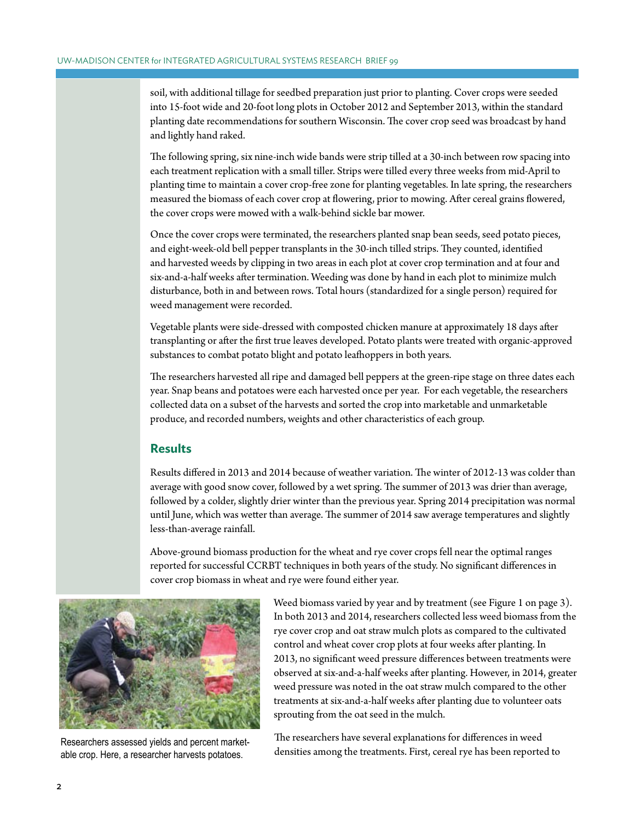soil, with additional tillage for seedbed preparation just prior to planting. Cover crops were seeded into 15-foot wide and 20-foot long plots in October 2012 and September 2013, within the standard planting date recommendations for southern Wisconsin. The cover crop seed was broadcast by hand and lightly hand raked.

The following spring, six nine-inch wide bands were strip tilled at a 30-inch between row spacing into each treatment replication with a small tiller. Strips were tilled every three weeks from mid-April to planting time to maintain a cover crop-free zone for planting vegetables. In late spring, the researchers measured the biomass of each cover crop at flowering, prior to mowing. After cereal grains flowered, the cover crops were mowed with a walk-behind sickle bar mower.

Once the cover crops were terminated, the researchers planted snap bean seeds, seed potato pieces, and eight-week-old bell pepper transplants in the 30-inch tilled strips. They counted, identified and harvested weeds by clipping in two areas in each plot at cover crop termination and at four and six-and-a-half weeks after termination. Weeding was done by hand in each plot to minimize mulch disturbance, both in and between rows. Total hours (standardized for a single person) required for weed management were recorded.

Vegetable plants were side-dressed with composted chicken manure at approximately 18 days after transplanting or after the first true leaves developed. Potato plants were treated with organic-approved substances to combat potato blight and potato leafhoppers in both years.

The researchers harvested all ripe and damaged bell peppers at the green-ripe stage on three dates each year. Snap beans and potatoes were each harvested once per year. For each vegetable, the researchers collected data on a subset of the harvests and sorted the crop into marketable and unmarketable produce, and recorded numbers, weights and other characteristics of each group.

#### **Results**

Results differed in 2013 and 2014 because of weather variation. The winter of 2012-13 was colder than average with good snow cover, followed by a wet spring. The summer of 2013 was drier than average, followed by a colder, slightly drier winter than the previous year. Spring 2014 precipitation was normal until June, which was wetter than average. The summer of 2014 saw average temperatures and slightly less-than-average rainfall.

Above-ground biomass production for the wheat and rye cover crops fell near the optimal ranges reported for successful CCRBT techniques in both years of the study. No significant differences in cover crop biomass in wheat and rye were found either year.



Researchers assessed yields and percent marketable crop. Here, a researcher harvests potatoes.

Weed biomass varied by year and by treatment (see Figure 1 on page 3). In both 2013 and 2014, researchers collected less weed biomass from the rye cover crop and oat straw mulch plots as compared to the cultivated control and wheat cover crop plots at four weeks after planting. In 2013, no significant weed pressure differences between treatments were observed at six-and-a-half weeks after planting. However, in 2014, greater weed pressure was noted in the oat straw mulch compared to the other treatments at six-and-a-half weeks after planting due to volunteer oats sprouting from the oat seed in the mulch.

The researchers have several explanations for differences in weed densities among the treatments. First, cereal rye has been reported to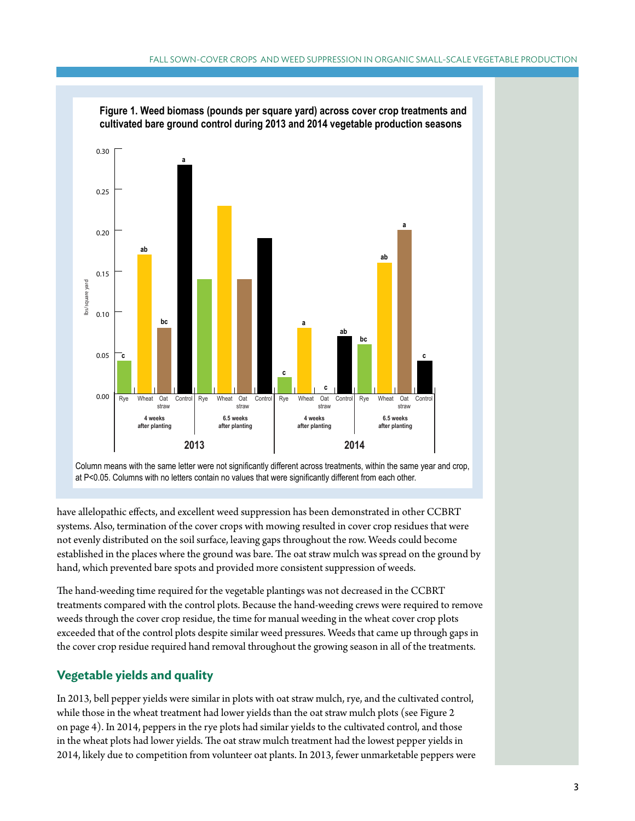

**Figure 1. Weed biomass (pounds per square yard) across cover crop treatments and** 

Column means with the same letter were not significantly different across treatments, within the same year and crop, at P<0.05. Columns with no letters contain no values that were significantly different from each other.

have allelopathic effects, and excellent weed suppression has been demonstrated in other CCBRT systems. Also, termination of the cover crops with mowing resulted in cover crop residues that were not evenly distributed on the soil surface, leaving gaps throughout the row. Weeds could become established in the places where the ground was bare. The oat straw mulch was spread on the ground by hand, which prevented bare spots and provided more consistent suppression of weeds.

The hand-weeding time required for the vegetable plantings was not decreased in the CCBRT treatments compared with the control plots. Because the hand-weeding crews were required to remove weeds through the cover crop residue, the time for manual weeding in the wheat cover crop plots exceeded that of the control plots despite similar weed pressures. Weeds that came up through gaps in the cover crop residue required hand removal throughout the growing season in all of the treatments.

## **Vegetable yields and quality**

In 2013, bell pepper yields were similar in plots with oat straw mulch, rye, and the cultivated control, while those in the wheat treatment had lower yields than the oat straw mulch plots (see Figure 2 on page 4). In 2014, peppers in the rye plots had similar yields to the cultivated control, and those in the wheat plots had lower yields. The oat straw mulch treatment had the lowest pepper yields in 2014, likely due to competition from volunteer oat plants. In 2013, fewer unmarketable peppers were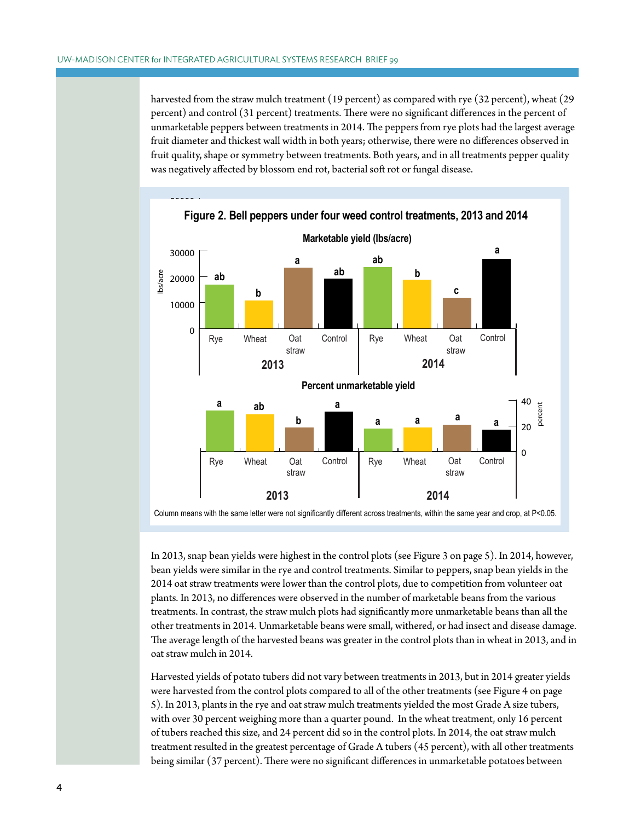harvested from the straw mulch treatment (19 percent) as compared with rye (32 percent), wheat (29 percent) and control (31 percent) treatments. There were no significant differences in the percent of .<br>unmarketable peppers between treatments in 2014. The peppers from rye plots had the largest average fruit diameter and thickest wall width in both years; otherwise, there were no differences observed in fruit quality, shape or symmetry between treatments. Both years, and in all treatments pepper quality was negatively affected by blossom end rot, bacterial soft rot or fungal disease.



In 2013, snap bean yields were highest in the control plots (see Figure 3 on page 5). In 2014, however, bean yields were similar in the rye and control treatments. Similar to peppers, snap bean yields in the 2014 oat straw treatments were lower than the control plots, due to competition from volunteer oat plants. In 2013, no differences were observed in the number of marketable beans from the various treatments. In contrast, the straw mulch plots had significantly more unmarketable beans than all the other treatments in 2014. Unmarketable beans were small, withered, or had insect and disease damage. The average length of the harvested beans was greater in the control plots than in wheat in 2013, and in oat straw mulch in 2014.

Harvested yields of potato tubers did not vary between treatments in 2013, but in 2014 greater yields were harvested from the control plots compared to all of the other treatments (see Figure 4 on page 5). In 2013, plants in the rye and oat straw mulch treatments yielded the most Grade A size tubers, with over 30 percent weighing more than a quarter pound. In the wheat treatment, only 16 percent of tubers reached this size, and 24 percent did so in the control plots. In 2014, the oat straw mulch treatment resulted in the greatest percentage of Grade A tubers (45 percent), with all other treatments being similar (37 percent). There were no significant differences in unmarketable potatoes between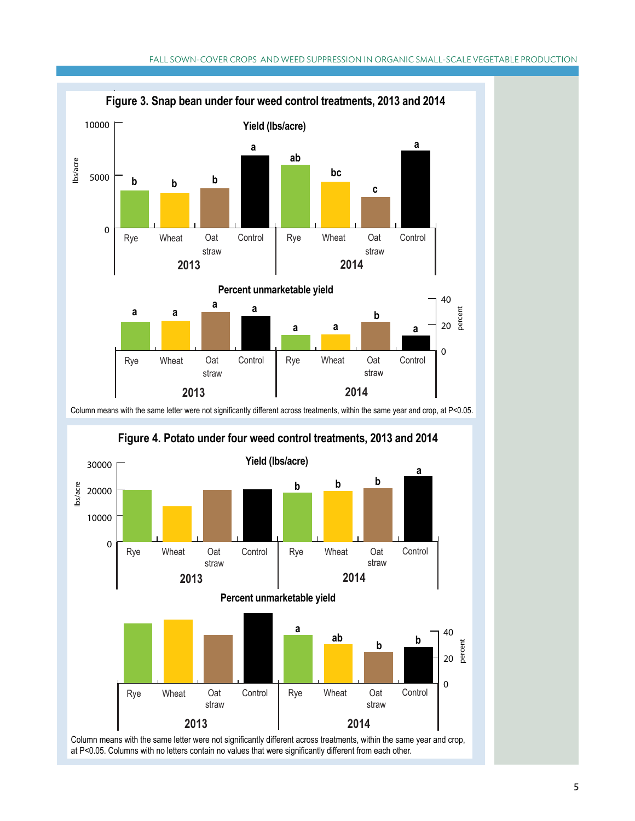



<sup>5</sup>